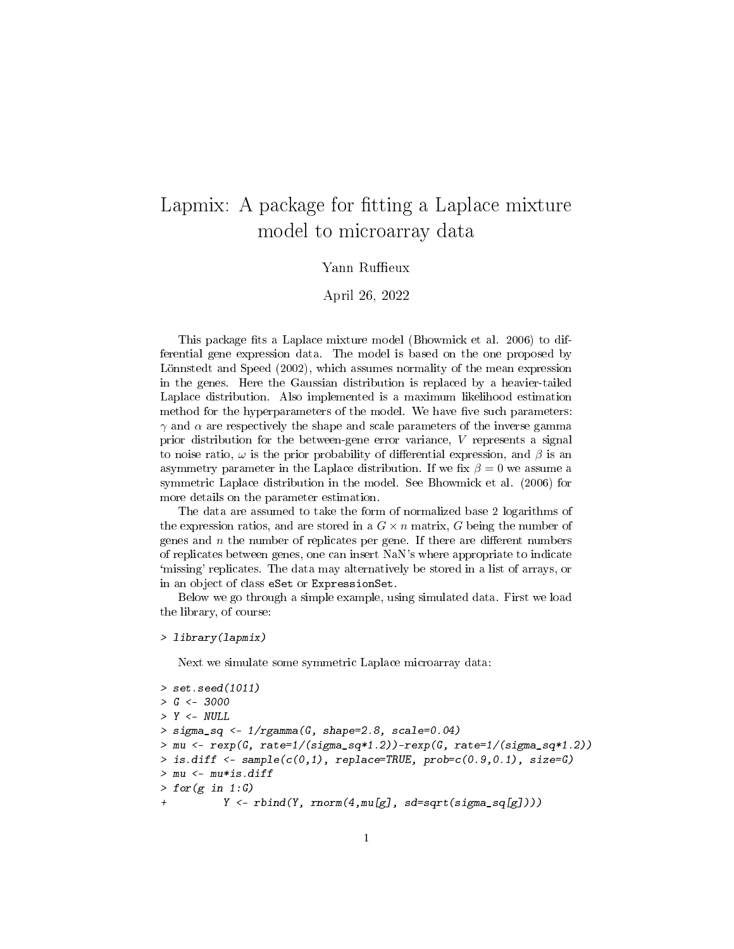## Lapmix: A package for fitting a Laplace mixture model to microarray data

## Yann Ruffieux

April 26, 2022

This package fits a Laplace mixture model (Bhowmick et al. 2006) to differential gene expression data. The model is based on the one proposed by Lönnstedt and Speed (2002), which assumes normality of the mean expression in the genes. Here the Gaussian distribution is replaced by a heavier-tailed Laplace distribution. Also implemented is a maximum likelihood estimation method for the hyperparameters of the model. We have five such parameters:  $\gamma$  and  $\alpha$  are respectively the shape and scale parameters of the inverse gamma prior distribution for the between-gene error variance, V represents a signal to noise ratio,  $\omega$  is the prior probability of differential expression, and  $\beta$  is an asymmetry parameter in the Laplace distribution. If we fix  $\beta = 0$  we assume a symmetric Laplace distribution in the model. See Bhowmick et al. (2006) for more details on the parameter estimation.

The data are assumed to take the form of normalized base 2 logarithms of the expression ratios, and are stored in a  $G \times n$  matrix, G being the number of genes and  $n$  the number of replicates per gene. If there are different numbers of replicates between genes, one can insert NaN's where appropriate to indicate `missing' replicates. The data may alternatively be stored in a list of arrays, or in an object of class eSet or ExpressionSet.

Below we go through a simple example, using simulated data. First we load the library, of course:

```
> library(lapmix)
```
Next we simulate some symmetric Laplace microarray data:

```
> set.seed(1011)
> G < -3000> Y < - NULL> sigma_sq <- 1/rgamma(G, shape=2.8, scale=0.04)
>mu \leftarrow \text{rexp}(G, \text{rate=1}/(\text{sigma\_sq*1.2})) - \text{rexp}(G, \text{rate=1}/(\text{sigma\_sq*1.2}))> is.diff \leq sample(c(0,1), replace=TRUE, prob=c(0.9,0.1), size=G)
> mu <- mu*is.diff
> for(g in 1:G)Y \leftarrow \text{rbind}(Y, \text{norm}(4, \text{mul}[g], \text{sd=sqrt}(sigma\_sq[g]))\)
```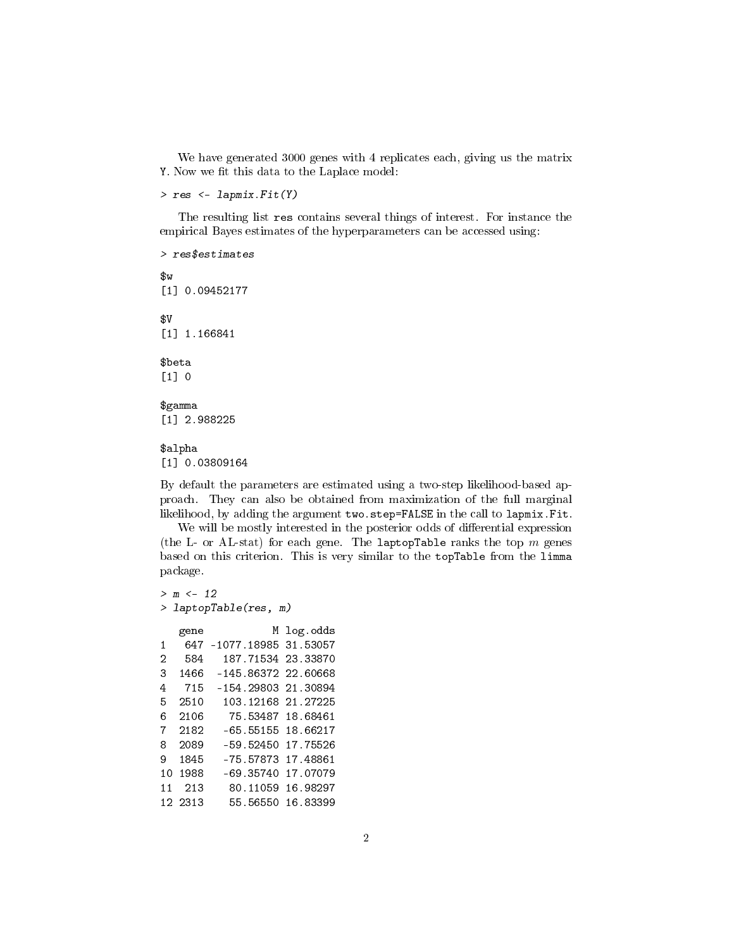We have generated 3000 genes with 4 replicates each, giving us the matrix Y. Now we fit this data to the Laplace model:

```
> res <- lapmix.Fit(Y)
```
The resulting list res contains several things of interest. For instance the empirical Bayes estimates of the hyperparameters can be accessed using:

> res\$estimates \$w [1] 0.09452177 \$V [1] 1.166841 \$beta  $[1] 0$ \$gamma [1] 2.988225

## \$alpha [1] 0.03809164

By default the parameters are estimated using a two-step likelihood-based approach. They can also be obtained from maximization of the full marginal likelihood, by adding the argument two.step=FALSE in the call to lapmix.Fit.

We will be mostly interested in the posterior odds of differential expression (the L- or AL-stat) for each gene. The laptopTable ranks the top  $m$  genes based on this criterion. This is very similar to the topTable from the limma package.

```
> m <- 12
> laptopTable(res, m)
  gene M log.odds
1 647 -1077.18985 31.53057
2 584 187.71534 23.33870
3 1466 -145.86372 22.60668
4 715 -154.29803 21.30894
5 2510 103.12168 21.27225
6 2106 75.53487 18.68461
7 2182 -65.55155 18.66217
8 2089 -59.52450 17.75526
9 1845 -75.57873 17.48861
10 1988 -69.35740 17.07079
11 213 80.11059 16.98297
12 2313 55.56550 16.83399
```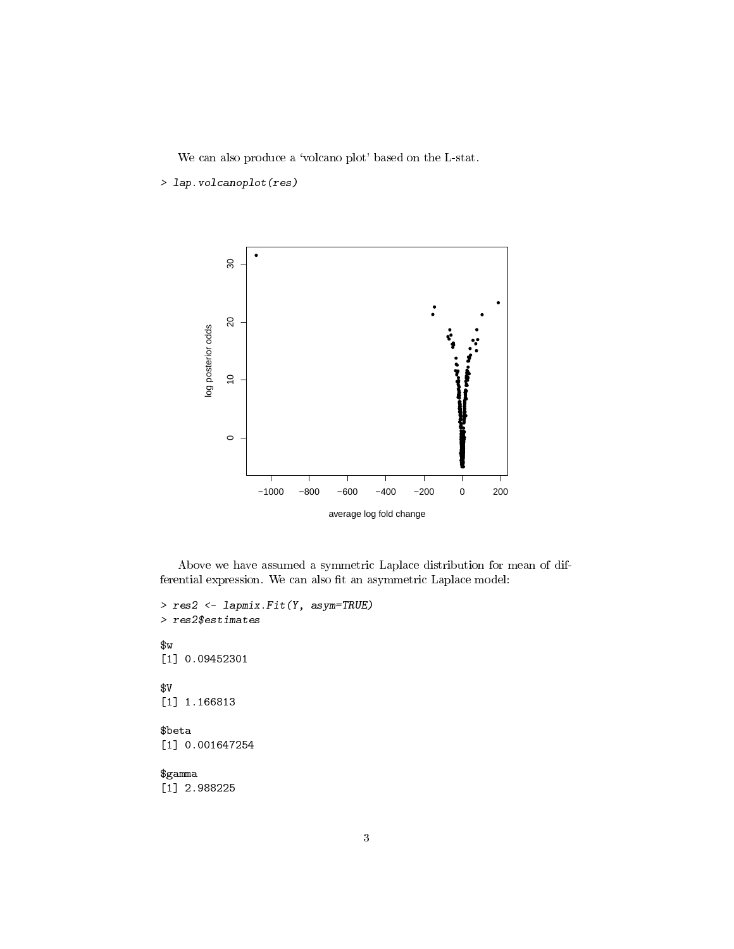We can also produce a 'volcano plot' based on the L-stat.

```
> lap.volcanoplot(res)
```


Above we have assumed a symmetric Laplace distribution for mean of differential expression. We can also fit an asymmetric Laplace model:

```
> res2 <- lapmix.Fit(Y, asym=TRUE)
> res2$estimates
$w
[1] 0.09452301
$V
[1] 1.166813
$beta
[1] 0.001647254
$gamma
[1] 2.988225
```